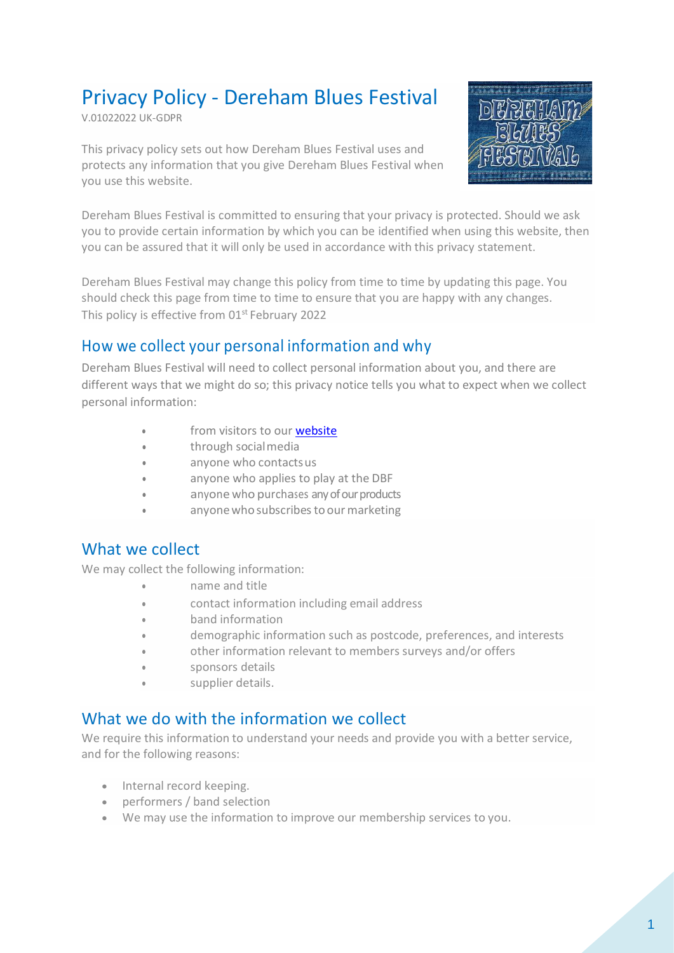# Privacy Policy - Dereham Blues Festival

V.01022022 UK-GDPR

This privacy policy sets out how Dereham Blues Festival uses and protects any information that you give Dereham Blues Festival when you use this website.



Dereham Blues Festival is committed to ensuring that your privacy is protected. Should we ask you to provide certain information by which you can be identified when using this website, then you can be assured that it will only be used in accordance with this privacy statement.

Dereham Blues Festival may change this policy from time to time by updating this page. You should check this page from time to time to ensure that you are happy with any changes. This policy is effective from 01<sup>st</sup> February 2022

### How we collect your personal information and why

Dereham Blues Festival will need to collect personal information about you, and there are different ways that we might do so; this privacy notice tells you what to expect when we collect personal information:

- from visitors to our **website**
- through socialmedia
- [anyone who contacts us](#page-1-0)
- anyone who applies to play at the DBF
- anyone who purchases any of our products
- anyone who subscribes to our marketing

#### What we collect

We may collect the following information:

- name and title
- contact information including email address
- band information
- demographic information such as postcode, preferences, and interests
- other information relevant to members surveys and/or offers
- sponsors details
- supplier details.

#### What we do with the information we collect

We require this information to understand your needs and provide you with a better service, and for the following reasons:

- Internal record keeping.
- performers / band selection
- We may use the information to improve our membership services to you.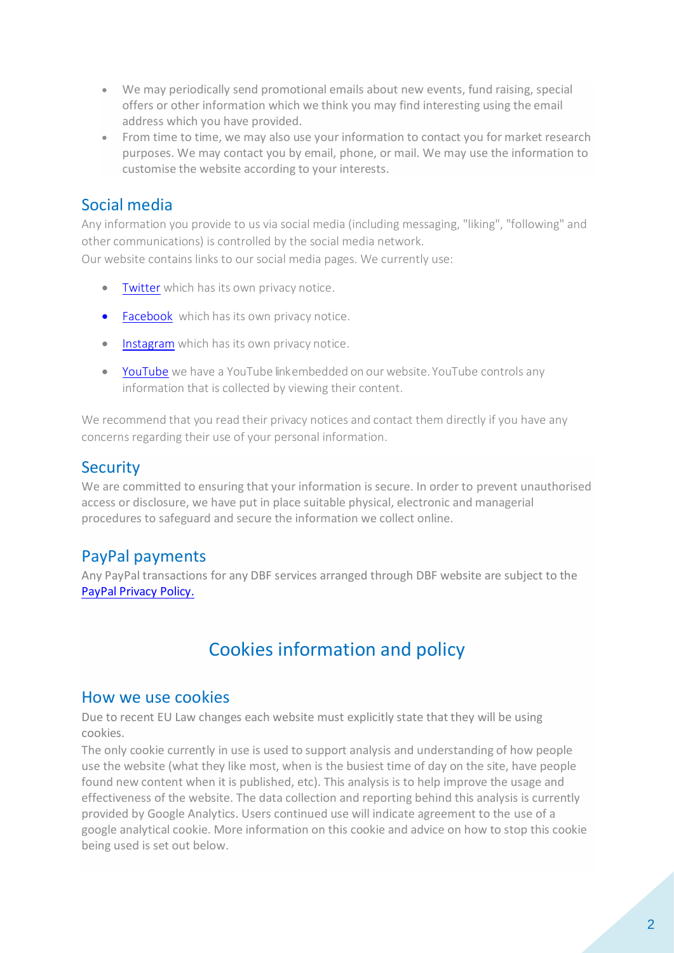- We may periodically send promotional emails about new events, fund raising, special offers or other information which we think you may find interesting using the email address which you have provided.
- From time to time, we may also use your information to contact you for market research purposes. We may contact you by email, phone, or mail. We may use the information to customise the website according to your interests.

## Social media

Any information you provide to us via social media (including messaging, "liking", "following" and other communications) is controlled by the social media network. Our website contains links to our social media pages. We currently use:

- [Twitter](https://twitter.com/en/privacy) which has its own privacy notice.
- [Facebook](https://www.facebook.com/privacy/explanation) which has its own privacy notice.
- [Instagram](https://help.instagram.com/519522125107875?helpref=page_content) which has its own privacy notice.
- [YouTube](https://www.mic.com/articles/163045/you-tube-privacy-policy-everything-you-need-to-know) we have a YouTube linkembedded on our website. YouTube controls any information that is collected by viewing their content.

We recommend that you read their privacy notices and contact them directly if you have any concerns regarding their use of your personal information.

## **Security**

We are committed to ensuring that your information is secure. In order to prevent unauthorised access or disclosure, we have put in place suitable physical, electronic and managerial procedures to safeguard and secure the information we collect online.

## PayPal payments

Any PayPal transactions for any DBF services arranged through DBF website are subject to th[e](https://www.paypal.com/myaccount/privacy/privacyhub) [PayPal Privacy Policy.](https://www.paypal.com/myaccount/privacy/privacyhub) 

## <span id="page-1-0"></span>Cookies information and policy

#### How we use cookies

Due to recent EU Law changes each website must explicitly state that they will be using cookies.

The only cookie currently in use is used to support analysis and understanding of how people use the website (what they like most, when is the busiest time of day on the site, have people found new content when it is published, etc). This analysis is to help improve the usage and effectiveness of the website. The data collection and reporting behind this analysis is currently provided by Google Analytics. Users continued use will indicate agreement to the use of a google analytical cookie. More information on this cookie and advice on how to stop this cookie being used is set out below.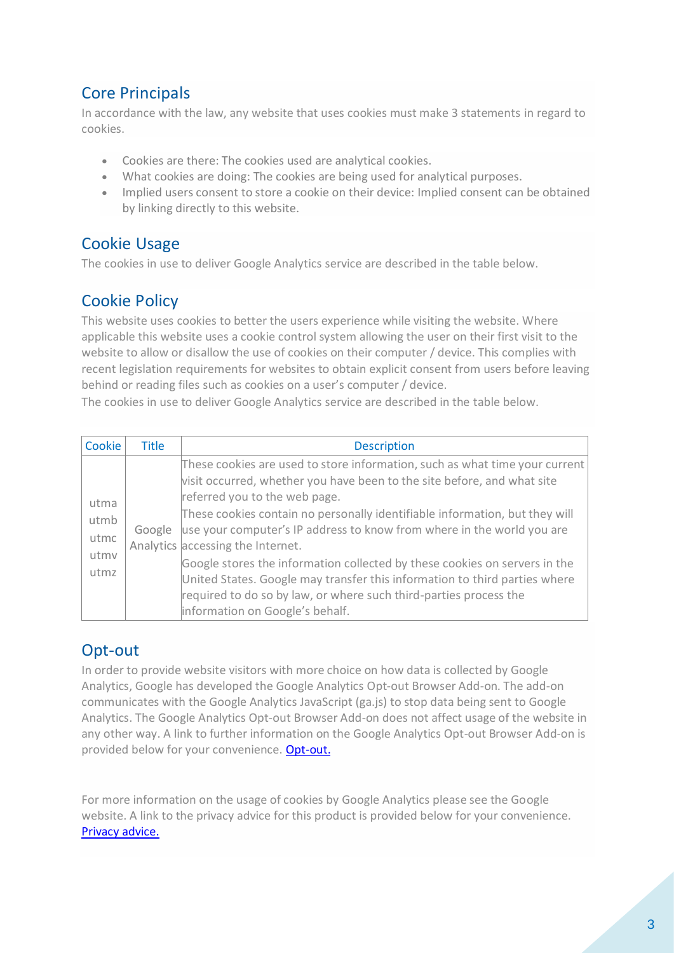## Core Principals

In accordance with the law, any website that uses cookies must make 3 statements in regard to cookies.

- Cookies are there: The cookies used are analytical cookies.
- What cookies are doing: The cookies are being used for analytical purposes.
- Implied users consent to store a cookie on their device: Implied consent can be obtained by linking directly to this website.

## Cookie Usage

The cookies in use to deliver Google Analytics service are described in the table below.

## Cookie Policy

This website uses cookies to better the users experience while visiting the website. Where applicable this website uses a cookie control system allowing the user on their first visit to the website to allow or disallow the use of cookies on their computer / device. This complies with recent legislation requirements for websites to obtain explicit consent from users before leaving behind or reading files such as cookies on a user's computer / device.

The cookies in use to deliver Google Analytics service are described in the table below.

| Cookie                               | <b>Title</b> | <b>Description</b>                                                                                                                                                                                                                                                                                                                                                                                                                                                                                                                                                                                                                                        |
|--------------------------------------|--------------|-----------------------------------------------------------------------------------------------------------------------------------------------------------------------------------------------------------------------------------------------------------------------------------------------------------------------------------------------------------------------------------------------------------------------------------------------------------------------------------------------------------------------------------------------------------------------------------------------------------------------------------------------------------|
| utma<br>utmb<br>utmc<br>utmv<br>utmz | Google       | These cookies are used to store information, such as what time your current<br>visit occurred, whether you have been to the site before, and what site<br>referred you to the web page.<br>These cookies contain no personally identifiable information, but they will<br>use your computer's IP address to know from where in the world you are<br>Analytics accessing the Internet.<br>Google stores the information collected by these cookies on servers in the<br>United States. Google may transfer this information to third parties where<br>required to do so by law, or where such third-parties process the<br>information on Google's behalf. |

## Opt-out

In order to provide website visitors with more choice on how data is collected by Google Analytics, Google has developed the Google Analytics Opt-out Browser Add-on. The add-on communicates with the Google Analytics JavaScript (ga.js) to stop data being sent to Google Analytics. The Google Analytics Opt-out Browser Add-on does not affect usage of the website in any other way. A link to further information on the Google Analytics Opt-out Browser Add-on is provided below for your convenience. [Opt-out.](http://tools.google.com/dlpage/gaoptout?hl=None)

For more information on the usage of cookies by Google Analytics please see the Google website. A link to the privacy advice for this product is provided below for your convenience. [Privacy advice.](https://policies.google.com/privacy?hl=en-US)